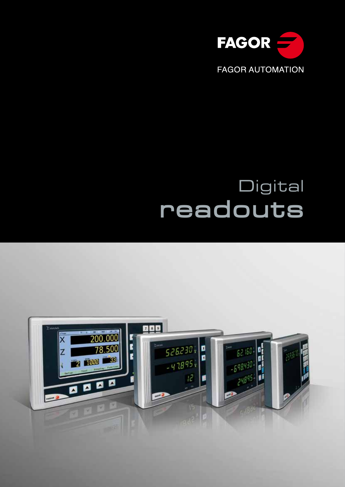

# Digital **readouts**

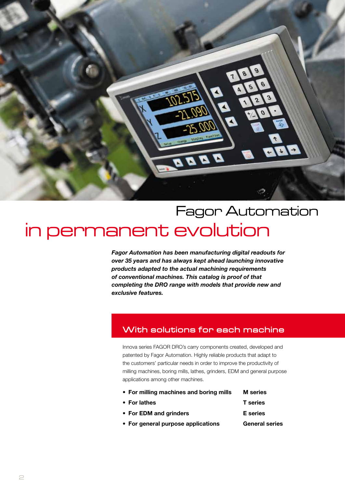

# Fagor Automation in permanent evolution

*Fagor Automation has been manufacturing digital readouts for over 35 years and has always kept ahead launching innovative products adapted to the actual machining requirements of conventional machines. This catalog is proof of that completing the DRO range with models that provide new and exclusive features.*

## **With solutions for each machine**

Innova series FAGOR DRO's carry components created, developed and patented by Fagor Automation. Highly reliable products that adapt to the customers' particular needs in order to improve the productivity of milling machines, boring mills, lathes, grinders, EDM and general purpose applications among other machines.

- For milling machines and boring mills M series
- For lathes T series
- For EDM and grinders Eseries
- For general purpose applications General series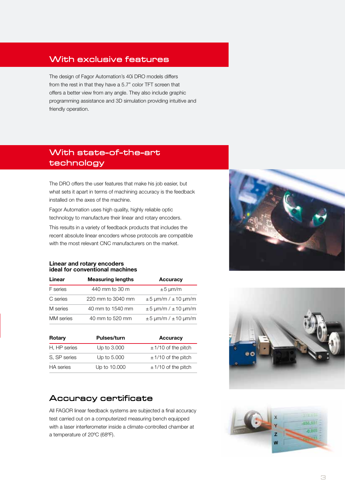## **With exclusive features**

The design of Fagor Automation's 40i DRO models differs from the rest in that they have a 5.7" color TFT screen that offers a better view from any angle. They also include graphic programming assistance and 3D simulation providing intuitive and friendly operation.

## **With state-of-the-art technology**

The DRO offers the user features that make his job easier, but what sets it apart in terms of machining accuracy is the feedback installed on the axes of the machine.

Fagor Automation uses high quality, highly reliable optic technology to manufacture their linear and rotary encoders.

This results in a variety of feedback products that includes the recent absolute linear encoders whose protocols are compatible with the most relevant CNC manufacturers on the market.

## Linear and rotary encoders ideal for conventional machines

| Linear           | <b>Measuring lengths</b> | <b>Accuracy</b>              |  |  |  |  |  |
|------------------|--------------------------|------------------------------|--|--|--|--|--|
| F series         | 440 mm to 30 m           | $\pm 5 \text{ µm/m}$         |  |  |  |  |  |
| C series         | 220 mm to 3040 mm        | $\pm$ 5 µm/m / $\pm$ 10 µm/m |  |  |  |  |  |
| M series         | 40 mm to 1540 mm         | $\pm$ 5 µm/m / $\pm$ 10 µm/m |  |  |  |  |  |
| <b>MM</b> series | 40 mm to 520 mm          | $\pm$ 5 µm/m / $\pm$ 10 µm/m |  |  |  |  |  |

| Rotary           | <b>Pulses/turn</b> | <b>Accuracy</b>         |
|------------------|--------------------|-------------------------|
| H, HP series     | Up to 3.000        | $\pm$ 1/10 of the pitch |
| S, SP series     | Up to 5.000        | $\pm$ 1/10 of the pitch |
| <b>HA</b> series | Up to 10.000       | $\pm$ 1/10 of the pitch |

## **Accuracy certificate**

All FAGOR linear feedback systems are subjected a final accuracy test carried out on a computerized measuring bench equipped with a laser interferometer inside a climate-controlled chamber at a temperature of 20ºC (68ºF).





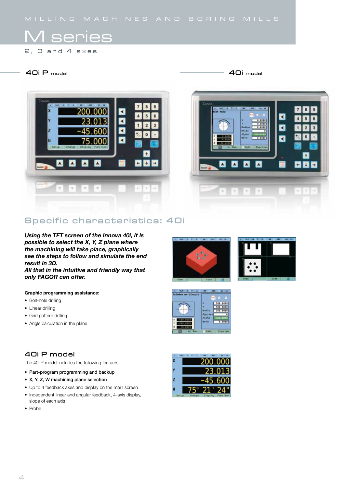## M series

 $2, 3$  and 4 axes

## **40i P model 40i model**



## Specific characteristics: 40i

*Using the TFT screen of the Innova 40i, it is possible to select the X, Y, Z plane where the machining will take place, graphically see the steps to follow and simulate the end result in 3D.*

*All that in the intuitive and friendly way that only FAGOR can offer.*

## Graphic programming assistance:

- Bolt-hole drilling
- Linear drilling
- Grid pattern drilling
- Angle calculation in the plane





## **40i P model**

The 40i P model includes the following features:

- Part-program programming and backup
- X, Y, Z, W machining plane selection
- Up to 4 feedback axes and display on the main screen
- Independent linear and angular feedback, 4-axis display, slope of each axis
- Probe

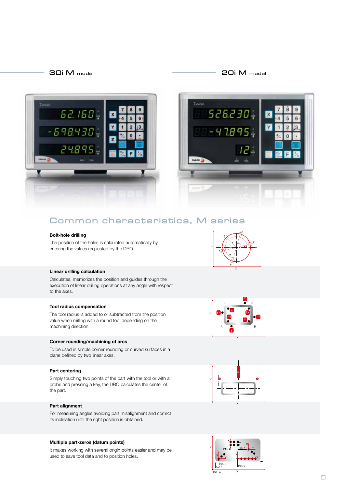## **30i M model 20i M model**





## **Common characteristics, M series**

#### Bolt-hole drilling

The position of the holes is calculated automatically by entering the values requested by the DRO.

## Linear drilling calculation

Calculates, memorizes the position and guides through the execution of linear drilling operations at any angle with respect to the axes.

#### Tool radius compensation

The tool radius is added to or subtracted from the position value when milling with a round tool depending on the machining direction.

#### Corner rounding/machining of arcs

To be used in simple corner rounding or curved surfaces in a plane defined by two linear axes.

## Part centering

Simply touching two points of the part with the tool or with a probe and pressing a key, the DRO calculates the center of the part.

#### Part alignment

For measuring angles avoiding part misalignment and correct its inclination until the right position is obtained.

#### Multiple part-zeros (datum points)

It makes working with several origin points easier and may be used to save tool data and to position holes.







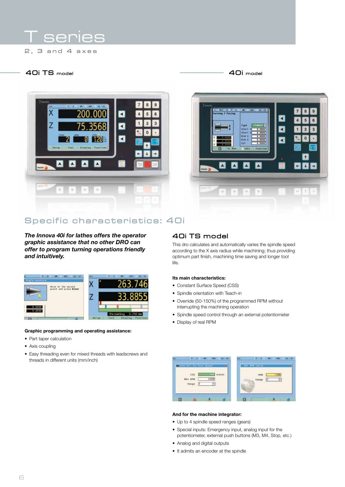## Ser

 $2, 3$  and 4 axes

## **40i TS model 40i model**



◀ ব n  $\overline{\phantom{a}}$ П

## Specific characteristics: 40i

*The Innova 40i for lathes offers the operator graphic assistance that no other DRO can offer to program turning operations friendly and intuitively.*



## Graphic programming and operating assistance:

- Part taper calculation
- Axis coupling
- Easy threading even for mixed threads with leadscrews and threads in different units (mm/inch)

## **40i TS model**

This dro calculates and automatically varies the spindle speed according to the X axis radius while machining; thus providing optimum part finish, machining time saving and longer tool life.

### Its main characteristics:

- Constant Surface Speed (CSS)
- Spindle orientation with Teach-in
- Override (50-150%) of the programmed RPM without interrupting the machining operation
- Spindle speed control through an external potentiometer
- Display of real RPM

| CONTRACTOR COMPANY |              | but are voted |   |
|--------------------|--------------|---------------|---|
| CSS                | <b>Th</b> VW | pou           | × |
| --                 |              |               |   |

#### And for the machine integrator:

- Up to 4 spindle speed ranges (gears)
- Special inputs: Emergency input, analog input for the potentiometer, external push buttons (M3, M4, Stop, etc.)
- Analog and digital outputs
- It admits an encoder at the spindle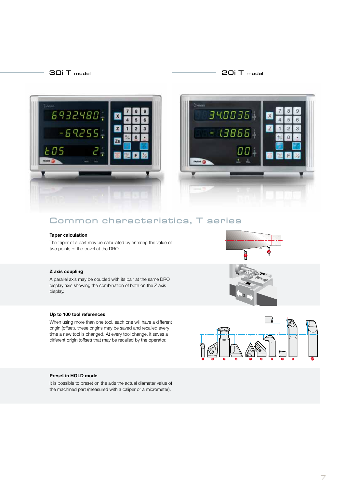## **30i T model 20i T model**





## **Common characteristics, T series**

#### Taper calculation

The taper of a part may be calculated by entering the value of two points of the travel at the DRO.

## Z axis coupling

A parallel axis may be coupled with its pair at the same DRO display axis showing the combination of both on the Z axis display.



When using more than one tool, each one will have a different origin (offset), these origins may be saved and recalled every time a new tool is changed. At every tool change, it saves a different origin (offset) that may be recalled by the operator.







#### Preset in HOLD mode

It is possible to preset on the axis the actual diameter value of the machined part (measured with a caliper or a micrometer).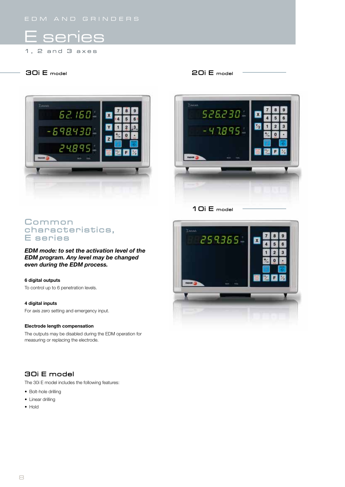## E series

 $1, 2$  and  $3$  axes

## **30i E model 20i E model**





**10i E model**

## **C o m m o n**  characteristics, **E** series

*EDM mode: to set the activation level of the EDM program. Any level may be changed even during the EDM process.*

## 6 digital outputs

To control up to 6 penetration levels.

## 4 digital inputs

For axis zero setting and emergency input.

#### Electrode length compensation

The outputs may be disabled during the EDM operation for measuring or replacing the electrode.

## **30i E model**

The 30i E model includes the following features:

- Bolt-hole drilling
- Linear drilling
- Hold

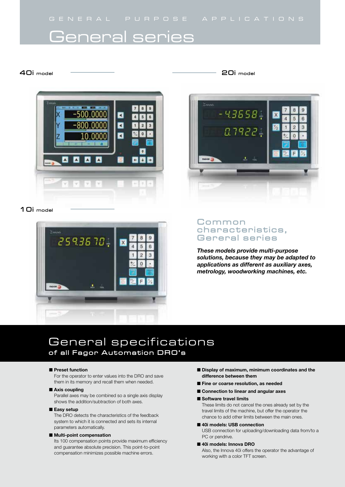## General series

## **40i model**



## **10i model**



## **20i model**



## **C o m m o n**  characteristics, Gereral series

*These models provide multi-purpose solutions, because they may be adapted to applications as different as auxiliary axes, metrology, woodworking machines, etc.*

## General specifications of all Fagor Automation DRO's

#### **n**Preset function

For the operator to enter values into the DRO and save them in its memory and recall them when needed.

#### $\blacksquare$  Axis coupling

Parallel axes may be combined so a single axis display shows the addition/subtraction of both axes.

### $E$ asy setup

The DRO detects the characteristics of the feedback system to which it is connected and sets its internal parameters automatically.

#### $\blacksquare$  Multi-point compensation

Its 100 compensation points provide maximum efficiency and guarantee absolute precision. This point-to-point compensation minimizes possible machine errors.

- **n** Display of maximum, minimum coordinates and the difference between them
- Fine or coarse resolution, as needed
- Connection to linear and angular axes
- Software travel limits These limits do not cancel the ones already set by the travel limits of the machine, but offer the operator the chance to add other limits between the main ones.
- 40i models: USB connection USB connection for uploading/downloading data from/to a PC or pendrive.
- 40i models: Innova DRO Also, the Innova 40i offers the operator the advantage of working with a color TFT screen.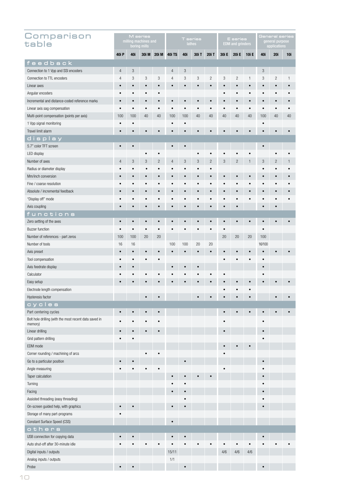| Comparison<br>table                                    | M series<br>milling machines and<br>boring mills |           |       | <b>T</b> series<br>lathes |                |            |           | E series<br><b>EDM</b> and grinders |           |                | General series<br>general purpose<br>applications |            |                |            |
|--------------------------------------------------------|--------------------------------------------------|-----------|-------|---------------------------|----------------|------------|-----------|-------------------------------------|-----------|----------------|---------------------------------------------------|------------|----------------|------------|
|                                                        | 40i P                                            | 40i       | 30i M | <b>20i M</b>              | <b>40i TS</b>  | 40i        | 30i T     | 20i T                               | 30i E     | <b>20i E</b>   | <b>10i E</b>                                      | 40i        | <b>20i</b>     | <b>10i</b> |
| feedback                                               |                                                  |           |       |                           |                |            |           |                                     |           |                |                                                   |            |                |            |
| Connection to 1 Vpp and SSI encoders                   | $\overline{4}$                                   | 3         |       |                           | $\overline{4}$ | $\sqrt{3}$ |           |                                     |           |                |                                                   | $\sqrt{3}$ |                |            |
| Connection to TTL encoders                             | $\overline{4}$                                   | 3         | 3     | 3                         | $\overline{4}$ | 3          | 3         | $\overline{c}$                      | 3         | $\overline{c}$ | $\mathbf{1}$                                      | 3          | $\overline{c}$ | 1          |
| Linear axes                                            |                                                  | $\bullet$ |       |                           | $\bullet$      | $\bullet$  | $\bullet$ |                                     |           | $\bullet$      |                                                   | $\bullet$  |                |            |
| Angular encoders                                       |                                                  | $\bullet$ |       |                           |                |            |           |                                     |           |                |                                                   | $\bullet$  |                |            |
| Incremental and distance-coded reference marks         |                                                  | $\bullet$ |       |                           |                | $\bullet$  |           |                                     |           |                |                                                   | $\bullet$  |                |            |
| Linear axis sag compensation                           |                                                  | $\bullet$ |       |                           |                |            |           |                                     |           |                | $\bullet$                                         | $\bullet$  | $\bullet$      |            |
| Multi-point compensation (points per axis)             |                                                  | 100       | 40    | 40                        | 100            | 100        | 40        | 40                                  | 40        | 40             | 40                                                | 100        | 40             | 40         |
| 1 Vpp signal monitoring                                | $\bullet$                                        |           |       |                           |                | $\bullet$  |           |                                     |           |                |                                                   |            |                |            |
| Travel limit alarm                                     | $\bullet$                                        |           |       | $\bullet$                 |                | $\bullet$  |           |                                     |           |                |                                                   |            |                |            |
| display                                                |                                                  |           |       |                           |                |            |           |                                     |           |                |                                                   |            |                |            |
| 5.7" color TFT screen                                  | $\bullet$                                        | $\bullet$ |       |                           | $\bullet$      | $\bullet$  |           |                                     |           |                |                                                   | $\bullet$  |                |            |
| LED display                                            |                                                  |           |       |                           |                |            |           |                                     |           |                | $\bullet$                                         |            |                |            |
| Number of axes                                         | 4                                                | 3         | 3     | $\overline{c}$            | 4              | 3          | 3         | $\overline{c}$                      | 3         | $\mathbf{2}$   | $\mathbf{1}$                                      | $\sqrt{3}$ | $\overline{c}$ |            |
| Radius or diameter display                             |                                                  |           |       |                           | $\bullet$      | $\bullet$  |           |                                     |           |                |                                                   |            |                |            |
| Mm/inch conversion                                     | $\bullet$                                        |           |       |                           | $\bullet$      | $\bullet$  | $\bullet$ |                                     |           |                |                                                   |            |                |            |
| Fine / coarse resolution                               |                                                  |           |       |                           |                |            |           |                                     |           |                |                                                   |            |                |            |
| Absolute / incremental feedback                        |                                                  |           |       |                           |                | $\bullet$  | $\bullet$ |                                     |           |                |                                                   |            |                |            |
| "Display off" mode                                     |                                                  |           |       |                           |                |            |           |                                     |           |                |                                                   |            |                |            |
| Axis coupling                                          |                                                  |           |       |                           | $\bullet$      | $\bullet$  | $\bullet$ |                                     |           |                |                                                   | $\bullet$  |                |            |
| functions                                              |                                                  |           |       |                           |                |            |           |                                     |           |                |                                                   |            |                |            |
| Zero setting of the axes                               | $\bullet$                                        | $\bullet$ |       |                           |                |            |           |                                     | $\bullet$ | $\bullet$      | $\bullet$                                         | $\bullet$  |                |            |
| <b>Buzzer function</b>                                 | $\bullet$                                        | $\bullet$ |       |                           |                | $\bullet$  | $\bullet$ |                                     |           |                |                                                   | $\bullet$  |                |            |
| Number of references - part zeros                      | 100                                              | 100       | 20    | 20                        |                |            |           |                                     | 20        | 20             | 20                                                | 100        |                |            |
| Number of tools                                        | 16                                               | 16        |       |                           | 100            | 100        | 20        | 20                                  |           |                |                                                   | 16/100     |                |            |
| Axis preset                                            | $\bullet$                                        | $\bullet$ |       |                           |                | $\bullet$  | $\bullet$ |                                     |           |                |                                                   |            |                |            |
| Tool compensation                                      |                                                  |           |       |                           |                |            |           |                                     |           |                |                                                   |            |                |            |
| Axis feedrate display                                  | $\bullet$                                        | $\bullet$ |       |                           |                | $\bullet$  | $\bullet$ |                                     |           |                |                                                   | $\bullet$  |                |            |
| Calculator                                             |                                                  |           |       |                           |                |            |           |                                     |           |                |                                                   |            |                |            |
| Easy setup                                             |                                                  |           |       |                           |                |            |           |                                     |           |                |                                                   |            |                |            |
| Electrode length compensation                          |                                                  |           |       |                           |                |            |           |                                     |           |                |                                                   |            |                |            |
| Hysteresis factor                                      |                                                  |           |       |                           |                |            |           |                                     |           |                |                                                   |            |                |            |
| cycles<br>Part centering cycles                        |                                                  |           |       |                           |                |            |           |                                     |           |                |                                                   |            |                |            |
| Bolt hole drilling (with the most recent data saved in |                                                  |           |       |                           |                |            |           |                                     |           |                |                                                   |            |                |            |
| memory)                                                |                                                  |           |       |                           |                |            |           |                                     |           |                |                                                   |            |                |            |
| Linear drilling                                        |                                                  |           |       |                           |                |            |           |                                     |           |                |                                                   |            |                |            |
| Grid pattern drilling                                  |                                                  |           |       |                           |                |            |           |                                     |           |                |                                                   |            |                |            |
| EDM mode                                               |                                                  |           |       |                           |                |            |           |                                     |           |                |                                                   |            |                |            |
| Corner rounding / machining of arcs                    |                                                  |           |       |                           |                |            |           |                                     |           |                |                                                   |            |                |            |
| Go to a particular position                            |                                                  |           |       |                           |                |            |           |                                     |           |                |                                                   |            |                |            |
| Angle measuring                                        |                                                  |           |       |                           |                |            |           |                                     |           |                |                                                   |            |                |            |
| Taper calculation                                      |                                                  |           |       |                           |                |            |           |                                     |           |                |                                                   |            |                |            |
| Turning                                                |                                                  |           |       |                           |                |            |           |                                     |           |                |                                                   |            |                |            |
| Facing                                                 |                                                  |           |       |                           |                |            |           |                                     |           |                |                                                   |            |                |            |
| Assisted threading (easy threading)                    |                                                  |           |       |                           |                |            |           |                                     |           |                |                                                   |            |                |            |
| On-screen guided help, with graphics                   |                                                  |           |       |                           |                |            |           |                                     |           |                |                                                   |            |                |            |
| Storage of many part-programs                          |                                                  |           |       |                           |                |            |           |                                     |           |                |                                                   |            |                |            |
| Constant Surface Speed (CSS)                           |                                                  |           |       |                           |                |            |           |                                     |           |                |                                                   |            |                |            |
| others                                                 |                                                  |           |       |                           |                |            |           |                                     |           |                |                                                   |            |                |            |
| USB connection for copying data                        |                                                  |           |       |                           |                |            |           |                                     |           |                |                                                   |            |                |            |
| Auto shut-off after 30-minute idle                     |                                                  |           |       |                           |                |            |           |                                     |           |                |                                                   |            |                |            |
| Digital inputs / outputs                               |                                                  |           |       |                           | 15/11          |            |           |                                     | 4/6       | 4/6            | 4/6                                               |            |                |            |
| Analog inputs / outputs                                |                                                  |           |       |                           | 1/1            |            |           |                                     |           |                |                                                   |            |                |            |
| Probe                                                  | $\bullet$                                        |           |       |                           |                | $\bullet$  |           |                                     |           |                |                                                   |            |                |            |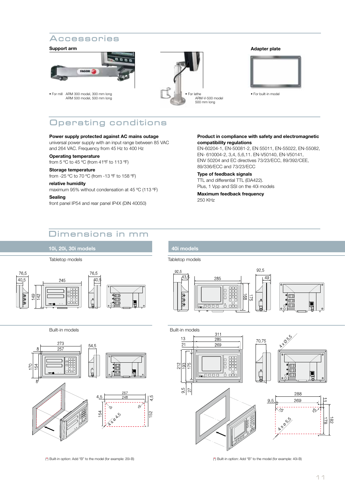## **A c c e s s o r i e s**

#### Support arm



• For mill ARM 300 model, 300 mm long ARM 500 model, 500 mm long



#### Adapter plate



• For built-in model

## **Operating conditions**

## Power supply protected against AC mains outage

universal power supply with an input range between 85 VAC and 264 VAC. Frequency from 45 Hz to 400 Hz

## Operating temperature

from 5 ºC to 45 ºC (from 41ºF to 113 ºF)

## Storage temperature

from -25 ºC to 70 ºC (from -13 ºF to 158 ºF)

## relative humidity

maximum 95% without condensation at 45 ºC (113 ºF)

#### Sealing

front panel IP54 and rear panel IP4X (DIN 40050)

#### Product in compliance with safety and electromagnetic compatibility regulations

EN-60204-1, EN-50081-2, EN 55011, EN-55022, EN-55082, EN- 610004-2, 3,4, 5,6,11. EN-V50140, EN-V50141, ENV 50204 and EC directives 73/23/ECC, 89/392/CEE, 89/336/ECC and 73/23/ECC

#### Type of feedback signals TTL and differential TTL (EIA422).

Plus, 1 Vpp and SSI on the 40i models

Maximum feedback frequency 250 KHz

## **D i m e n s i o n s i n m m**



10i, 20i, 30i models

## 40i models

Tabletop models Tabletop models







(\*) Built-in option: Add "B" to the model (for example: 20i-B) (\*) Built-in option: Add "B" to the model (for example: 40i-B)

182